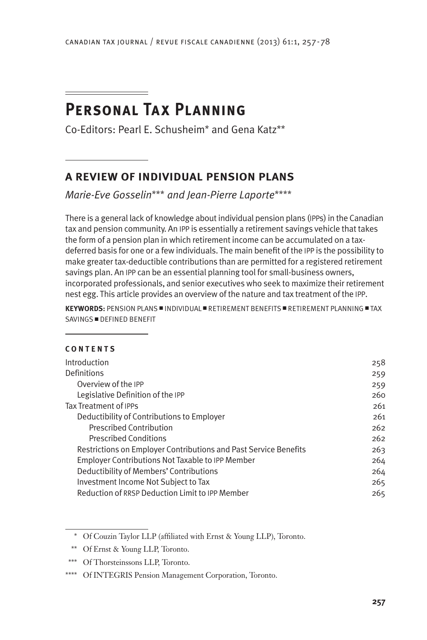# **Personal Tax Planning**

Co-Editors: Pearl E. Schusheim\* and Gena Katz\*\*

# **A REVIEW OF INDIVIDUAL PENSION PLANS**

*Marie-Eve Gosselin*\*\*\* *and Jean-Pierre Laporte*\*\*\*\*

There is a general lack of knowledge about individual pension plans (IPPs) in the Canadian tax and pension community. An IPP is essentially a retirement savings vehicle that takes the form of a pension plan in which retirement income can be accumulated on a taxdeferred basis for one or a few individuals. The main benefit of the IPP is the possibility to make greater tax-deductible contributions than are permitted for a registered retirement savings plan. An IPP can be an essential planning tool for small-business owners, incorporated professionals, and senior executives who seek to maximize their retirement nest egg. This article provides an overview of the nature and tax treatment of the IPP.

**KEYWORDS:** PENSION PLANS UNDIVIDUAL URETIREMENT BENEFITS URETIREMENT PLANNING UTAX  $SAVINGS = DEFINED BENEFIT$ 

#### **C O N T E N T S**

| Introduction                                                     | 258 |
|------------------------------------------------------------------|-----|
| Definitions                                                      | 259 |
| Overview of the IPP                                              | 259 |
| Legislative Definition of the IPP                                | 260 |
| Tax Treatment of IPPs                                            | 261 |
| Deductibility of Contributions to Employer                       | 261 |
| <b>Prescribed Contribution</b>                                   | 262 |
| <b>Prescribed Conditions</b>                                     | 262 |
| Restrictions on Employer Contributions and Past Service Benefits | 263 |
| Employer Contributions Not Taxable to IPP Member                 | 264 |
| Deductibility of Members' Contributions                          | 264 |
| Investment Income Not Subject to Tax                             | 265 |
| Reduction of RRSP Deduction Limit to IPP Member                  | 265 |
|                                                                  |     |

<sup>\*</sup> Of Couzin Taylor LLP (affiliated with Ernst & Young LLP), Toronto.

<sup>\*\*</sup> Of Ernst & Young LLP, Toronto.

<sup>\*\*\*</sup> Of Thorsteinssons LLP, Toronto.

<sup>\*\*\*\*</sup> Of INTEGRIS Pension Management Corporation, Toronto.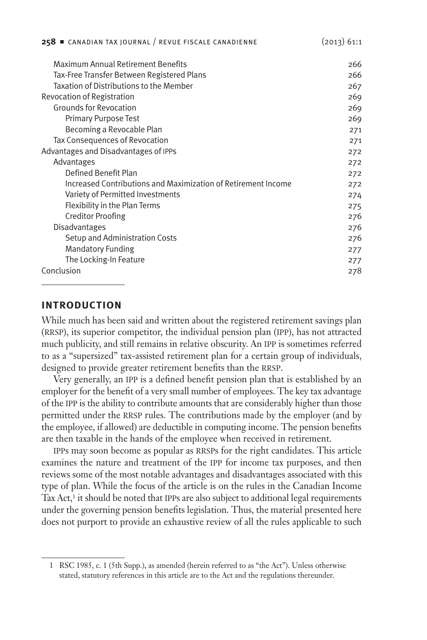<span id="page-1-0"></span>

| <b>Maximum Annual Retirement Benefits</b>                     | 266 |
|---------------------------------------------------------------|-----|
| Tax-Free Transfer Between Registered Plans                    | 266 |
| Taxation of Distributions to the Member                       | 267 |
| Revocation of Registration                                    | 269 |
| <b>Grounds for Revocation</b>                                 | 269 |
| <b>Primary Purpose Test</b>                                   | 269 |
| Becoming a Revocable Plan                                     | 271 |
| Tax Consequences of Revocation                                | 271 |
| Advantages and Disadvantages of IPPs                          | 272 |
| Advantages                                                    | 272 |
| Defined Benefit Plan                                          | 272 |
| Increased Contributions and Maximization of Retirement Income | 272 |
| Variety of Permitted Investments                              | 274 |
| Flexibility in the Plan Terms                                 | 275 |
| Creditor Proofing                                             | 276 |
| <b>Disadvantages</b>                                          | 276 |
| Setup and Administration Costs                                | 276 |
| <b>Mandatory Funding</b>                                      | 277 |
| The Locking-In Feature                                        | 277 |
| Conclusion                                                    | 278 |
|                                                               |     |

#### **INTRODUCTION**

While much has been said and written about the registered retirement savings plan (RRSP), its superior competitor, the individual pension plan (IPP), has not attracted much publicity, and still remains in relative obscurity. An IPP is sometimes referred to as a "supersized" tax-assisted retirement plan for a certain group of individuals, designed to provide greater retirement benefits than the RRSP.

Very generally, an IPP is a defined benefit pension plan that is established by an employer for the benefit of a very small number of employees. The key tax advantage of the IPP is the ability to contribute amounts that are considerably higher than those permitted under the RRSP rules. The contributions made by the employer (and by the employee, if allowed) are deductible in computing income. The pension benefits are then taxable in the hands of the employee when received in retirement.

IPPs may soon become as popular as RRSPs for the right candidates. This article examines the nature and treatment of the IPP for income tax purposes, and then reviews some of the most notable advantages and disadvantages associated with this type of plan. While the focus of the article is on the rules in the Canadian Income Tax  $Act$ <sup>1</sup> it should be noted that IPPs are also subject to additional legal requirements under the governing pension benefits legislation. Thus, the material presented here does not purport to provide an exhaustive review of all the rules applicable to such

<sup>1</sup> RSC 1985, c. 1 (5th Supp.), as amended (herein referred to as "the Act"). Unless otherwise stated, statutory references in this article are to the Act and the regulations thereunder.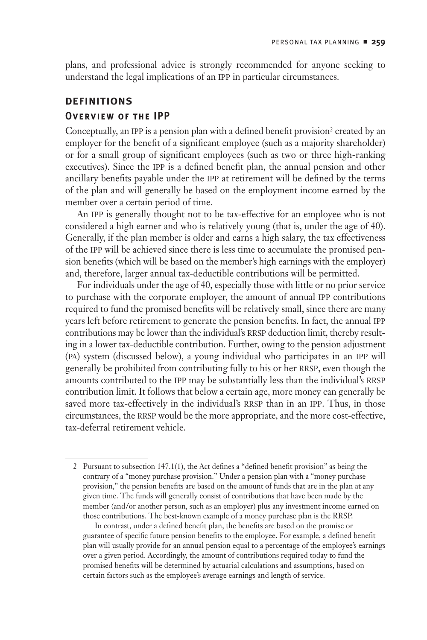<span id="page-2-0"></span>plans, and professional advice is strongly recommended for anyone seeking to understand the legal implications of an IPP in particular circumstances.

# **DEFINITIONS Overview of the IPP**

Conceptually, an IPP is a pension plan with a defined benefit provision<sup>2</sup> created by an employer for the benefit of a significant employee (such as a majority shareholder) or for a small group of significant employees (such as two or three high-ranking executives). Since the IPP is a defined benefit plan, the annual pension and other ancillary benefits payable under the IPP at retirement will be defined by the terms of the plan and will generally be based on the employment income earned by the member over a certain period of time.

An IPP is generally thought not to be tax-effective for an employee who is not considered a high earner and who is relatively young (that is, under the age of 40). Generally, if the plan member is older and earns a high salary, the tax effectiveness of the IPP will be achieved since there is less time to accumulate the promised pension benefits (which will be based on the member's high earnings with the employer) and, therefore, larger annual tax-deductible contributions will be permitted.

For individuals under the age of 40, especially those with little or no prior service to purchase with the corporate employer, the amount of annual IPP contributions required to fund the promised benefits will be relatively small, since there are many years left before retirement to generate the pension benefits. In fact, the annual IPP contributions may be lower than the individual's RRSP deduction limit, thereby resulting in a lower tax-deductible contribution. Further, owing to the pension adjustment (PA) system (discussed below), a young individual who participates in an IPP will generally be prohibited from contributing fully to his or her RRSP, even though the amounts contributed to the IPP may be substantially less than the individual's RRSP contribution limit. It follows that below a certain age, more money can generally be saved more tax-effectively in the individual's RRSP than in an IPP. Thus, in those circumstances, the RRSP would be the more appropriate, and the more cost-effective, tax-deferral retirement vehicle.

In contrast, under a defined benefit plan, the benefits are based on the promise or guarantee of specific future pension benefits to the employee. For example, a defined benefit plan will usually provide for an annual pension equal to a percentage of the employee's earnings over a given period. Accordingly, the amount of contributions required today to fund the promised benefits will be determined by actuarial calculations and assumptions, based on certain factors such as the employee's average earnings and length of service.

<sup>2</sup> Pursuant to subsection 147.1(1), the Act defines a "defined benefit provision" as being the contrary of a "money purchase provision." Under a pension plan with a "money purchase provision," the pension benefits are based on the amount of funds that are in the plan at any given time. The funds will generally consist of contributions that have been made by the member (and/or another person, such as an employer) plus any investment income earned on those contributions. The best-known example of a money purchase plan is the RRSP.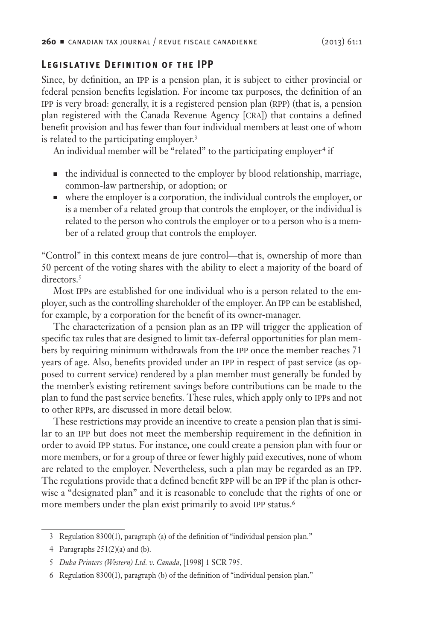#### <span id="page-3-0"></span>**Legisl ative Definition of the IPP**

Since, by definition, an IPP is a pension plan, it is subject to either provincial or federal pension benefits legislation. For income tax purposes, the definition of an IPP is very broad: generally, it is a registered pension plan (RPP) (that is, a pension plan registered with the Canada Revenue Agency [CRA]) that contains a defined benefit provision and has fewer than four individual members at least one of whom is related to the participating employer.<sup>3</sup>

An individual member will be "related" to the participating employer<sup>4</sup> if

- <sup>n</sup> the individual is connected to the employer by blood relationship, marriage, common-law partnership, or adoption; or
- <sup>n</sup> where the employer is a corporation, the individual controls the employer, or is a member of a related group that controls the employer, or the individual is related to the person who controls the employer or to a person who is a member of a related group that controls the employer.

"Control" in this context means de jure control—that is, ownership of more than 50 percent of the voting shares with the ability to elect a majority of the board of directors.<sup>5</sup>

Most IPPs are established for one individual who is a person related to the employer, such as the controlling shareholder of the employer. An IPP can be established, for example, by a corporation for the benefit of its owner-manager.

The characterization of a pension plan as an IPP will trigger the application of specific tax rules that are designed to limit tax-deferral opportunities for plan members by requiring minimum withdrawals from the IPP once the member reaches 71 years of age. Also, benefits provided under an IPP in respect of past service (as opposed to current service) rendered by a plan member must generally be funded by the member's existing retirement savings before contributions can be made to the plan to fund the past service benefits. These rules, which apply only to IPPs and not to other RPPs, are discussed in more detail below.

These restrictions may provide an incentive to create a pension plan that is similar to an IPP but does not meet the membership requirement in the definition in order to avoid IPP status. For instance, one could create a pension plan with four or more members, or for a group of three or fewer highly paid executives, none of whom are related to the employer. Nevertheless, such a plan may be regarded as an IPP. The regulations provide that a defined benefit RPP will be an IPP if the plan is otherwise a "designated plan" and it is reasonable to conclude that the rights of one or more members under the plan exist primarily to avoid IPP status.<sup>6</sup>

<sup>3</sup> Regulation 8300(1), paragraph (a) of the definition of "individual pension plan."

<sup>4</sup> Paragraphs 251(2)(a) and (b).

<sup>5</sup> *Duha Printers (Western) Ltd. v. Canada*, [1998] 1 SCR 795.

<sup>6</sup> Regulation 8300(1), paragraph (b) of the definition of "individual pension plan."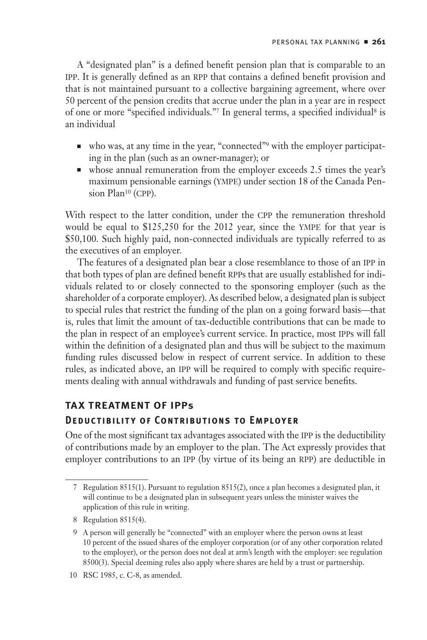<span id="page-4-0"></span>A "designated plan" is a defined benefit pension plan that is comparable to an IPP. It is generally defined as an RPP that contains a defined benefit provision and that is not maintained pursuant to a collective bargaining agreement, where over 50 percent of the pension credits that accrue under the plan in a year are in respect of one or more "specified individuals."7 In general terms, a specified individual<sup>8</sup> is an individual

- <sup>n</sup> who was, at any time in the year, "connected"9 with the employer participating in the plan (such as an owner-manager); or
- <sup>n</sup> whose annual remuneration from the employer exceeds 2.5 times the year's maximum pensionable earnings (YMPE) under section 18 of the Canada Pension Plan<sup>10</sup> (CPP).

With respect to the latter condition, under the CPP the remuneration threshold would be equal to \$125,250 for the 2012 year, since the YMPE for that year is \$50,100. Such highly paid, non-connected individuals are typically referred to as the executives of an employer.

The features of a designated plan bear a close resemblance to those of an IPP in that both types of plan are defined benefit RPPs that are usually established for individuals related to or closely connected to the sponsoring employer (such as the shareholder of a corporate employer). As described below, a designated plan is subject to special rules that restrict the funding of the plan on a going forward basis—that is, rules that limit the amount of tax-deductible contributions that can be made to the plan in respect of an employee's current service. In practice, most IPPs will fall within the definition of a designated plan and thus will be subject to the maximum funding rules discussed below in respect of current service. In addition to these rules, as indicated above, an IPP will be required to comply with specific requirements dealing with annual withdrawals and funding of past service benefits.

# **TAX TREATMENT OF IPPs**

# **DEDUCTIBILITY OF CONTRIBUTIONS TO EMPLOYER**

One of the most significant tax advantages associated with the IPP is the deductibility of contributions made by an employer to the plan. The Act expressly provides that employer contributions to an IPP (by virtue of its being an RPP) are deductible in

<sup>7</sup> Regulation 8515(1). Pursuant to regulation 8515(2), once a plan becomes a designated plan, it will continue to be a designated plan in subsequent years unless the minister waives the application of this rule in writing.

<sup>8</sup> Regulation 8515(4).

<sup>9</sup> A person will generally be "connected" with an employer where the person owns at least 10 percent of the issued shares of the employer corporation (or of any other corporation related to the employer), or the person does not deal at arm's length with the employer: see regulation 8500(3). Special deeming rules also apply where shares are held by a trust or partnership.

<sup>10</sup> RSC 1985, c. C-8, as amended.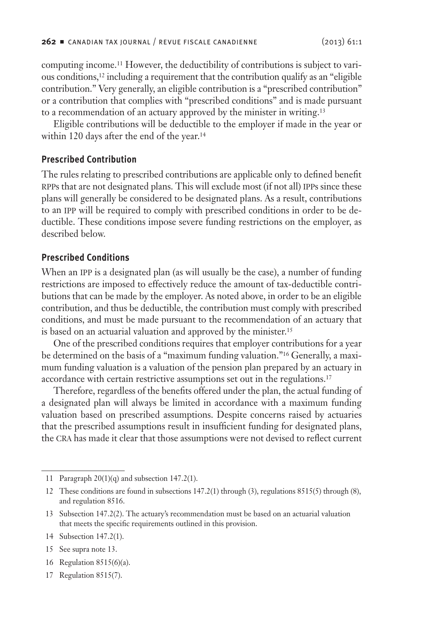<span id="page-5-0"></span>computing income.11 However, the deductibility of contributions is subject to various conditions,12 including a requirement that the contribution qualify as an "eligible contribution." Very generally, an eligible contribution is a "prescribed contribution" or a contribution that complies with "prescribed conditions" and is made pursuant to a recommendation of an actuary approved by the minister in writing.13

Eligible contributions will be deductible to the employer if made in the year or within 120 days after the end of the year.<sup>14</sup>

#### **Prescribed Contribution**

The rules relating to prescribed contributions are applicable only to defined benefit RPPs that are not designated plans. This will exclude most (if not all) IPPs since these plans will generally be considered to be designated plans. As a result, contributions to an IPP will be required to comply with prescribed conditions in order to be deductible. These conditions impose severe funding restrictions on the employer, as described below.

#### **Prescribed Conditions**

When an IPP is a designated plan (as will usually be the case), a number of funding restrictions are imposed to effectively reduce the amount of tax-deductible contributions that can be made by the employer. As noted above, in order to be an eligible contribution, and thus be deductible, the contribution must comply with prescribed conditions, and must be made pursuant to the recommendation of an actuary that is based on an actuarial valuation and approved by the minister.15

One of the prescribed conditions requires that employer contributions for a year be determined on the basis of a "maximum funding valuation."16 Generally, a maximum funding valuation is a valuation of the pension plan prepared by an actuary in accordance with certain restrictive assumptions set out in the regulations.<sup>17</sup>

Therefore, regardless of the benefits offered under the plan, the actual funding of a designated plan will always be limited in accordance with a maximum funding valuation based on prescribed assumptions. Despite concerns raised by actuaries that the prescribed assumptions result in insufficient funding for designated plans, the CRA has made it clear that those assumptions were not devised to reflect current

<sup>11</sup> Paragraph 20(1)(q) and subsection 147.2(1).

<sup>12</sup> These conditions are found in subsections 147.2(1) through (3), regulations 8515(5) through (8), and regulation 8516.

<sup>13</sup> Subsection 147.2(2). The actuary's recommendation must be based on an actuarial valuation that meets the specific requirements outlined in this provision.

<sup>14</sup> Subsection 147.2(1).

<sup>15</sup> See supra note 13.

<sup>16</sup> Regulation 8515(6)(a).

<sup>17</sup> Regulation 8515(7).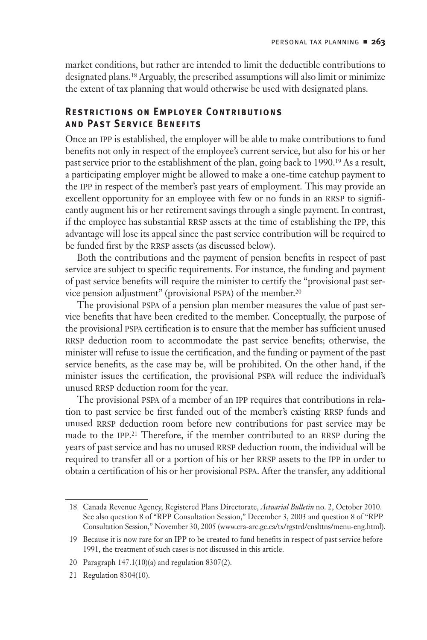<span id="page-6-0"></span>market conditions, but rather are intended to limit the deductible contributions to designated plans.18 Arguably, the prescribed assumptions will also limit or minimize the extent of tax planning that would otherwise be used with designated plans.

### **Restrictions on Employer Contributions and Pa st Service Benefits**

Once an IPP is established, the employer will be able to make contributions to fund benefits not only in respect of the employee's current service, but also for his or her past service prior to the establishment of the plan, going back to 1990.19 As a result, a participating employer might be allowed to make a one-time catchup payment to the IPP in respect of the member's past years of employment. This may provide an excellent opportunity for an employee with few or no funds in an RRSP to significantly augment his or her retirement savings through a single payment. In contrast, if the employee has substantial RRSP assets at the time of establishing the IPP, this advantage will lose its appeal since the past service contribution will be required to be funded first by the RRSP assets (as discussed below).

Both the contributions and the payment of pension benefits in respect of past service are subject to specific requirements. For instance, the funding and payment of past service benefits will require the minister to certify the "provisional past service pension adjustment" (provisional PSPA) of the member.20

The provisional PSPA of a pension plan member measures the value of past service benefits that have been credited to the member. Conceptually, the purpose of the provisional PSPA certification is to ensure that the member has sufficient unused RRSP deduction room to accommodate the past service benefits; otherwise, the minister will refuse to issue the certification, and the funding or payment of the past service benefits, as the case may be, will be prohibited. On the other hand, if the minister issues the certification, the provisional PSPA will reduce the individual's unused RRSP deduction room for the year.

The provisional PSPA of a member of an IPP requires that contributions in relation to past service be first funded out of the member's existing RRSP funds and unused RRSP deduction room before new contributions for past service may be made to the IPP. 21 Therefore, if the member contributed to an RRSP during the years of past service and has no unused RRSP deduction room, the individual will be required to transfer all or a portion of his or her RRSP assets to the IPP in order to obtain a certification of his or her provisional PSPA. After the transfer, any additional

<sup>18</sup> Canada Revenue Agency, Registered Plans Directorate, *Actuarial Bulletin* no. 2, October 2010. See also question 8 of "RPP Consultation Session," December 3, 2003 and question 8 of "RPP Consultation Session," November 30, 2005 (www.cra-arc.gc.ca/tx/rgstrd/cnslttns/menu-eng.html).

<sup>19</sup> Because it is now rare for an IPP to be created to fund benefits in respect of past service before 1991, the treatment of such cases is not discussed in this article.

<sup>20</sup> Paragraph 147.1(10)(a) and regulation 8307(2).

<sup>21</sup> Regulation 8304(10).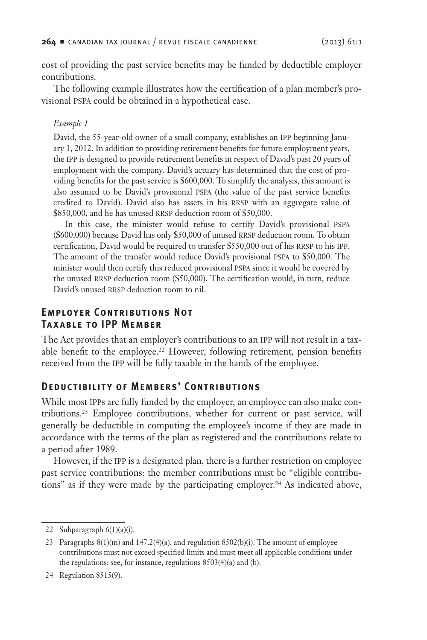<span id="page-7-0"></span>cost of providing the past service benefits may be funded by deductible employer contributions.

The following example illustrates how the certification of a plan member's provisional PSPA could be obtained in a hypothetical case.

#### *Example 1*

David, the 55-year-old owner of a small company, establishes an IPP beginning January 1, 2012. In addition to providing retirement benefits for future employment years, the IPP is designed to provide retirement benefits in respect of David's past 20 years of employment with the company. David's actuary has determined that the cost of providing benefits for the past service is \$600,000. To simplify the analysis, this amount is also assumed to be David's provisional PSPA (the value of the past service benefits credited to David). David also has assets in his RRSP with an aggregate value of \$850,000, and he has unused RRSP deduction room of \$50,000.

In this case, the minister would refuse to certify David's provisional PSPA (\$600,000) because David has only \$50,000 of unused RRSP deduction room. To obtain certification, David would be required to transfer \$550,000 out of his RRSP to his IPP. The amount of the transfer would reduce David's provisional PSPA to \$50,000. The minister would then certify this reduced provisional PSPA since it would be covered by the unused RRSP deduction room (\$50,000). The certification would, in turn, reduce David's unused RRSP deduction room to nil.

# **Employer Contributions Not Ta x able to IPP Member**

The Act provides that an employer's contributions to an IPP will not result in a taxable benefit to the employee.<sup>22</sup> However, following retirement, pension benefits received from the IPP will be fully taxable in the hands of the employee.

# **DEDUCTIBILITY OF MEMBERS' CONTRIBUTIONS**

While most IPPs are fully funded by the employer, an employee can also make contributions.23 Employee contributions, whether for current or past service, will generally be deductible in computing the employee's income if they are made in accordance with the terms of the plan as registered and the contributions relate to a period after 1989.

However, if the IPP is a designated plan, there is a further restriction on employee past service contributions: the member contributions must be "eligible contributions" as if they were made by the participating employer.24 As indicated above,

<sup>22</sup> Subparagraph 6(1)(a)(i).

<sup>23</sup> Paragraphs 8(1)(m) and 147.2(4)(a), and regulation 8502(b)(i). The amount of employee contributions must not exceed specified limits and must meet all applicable conditions under the regulations: see, for instance, regulations 8503(4)(a) and (b).

<sup>24</sup> Regulation 8515(9).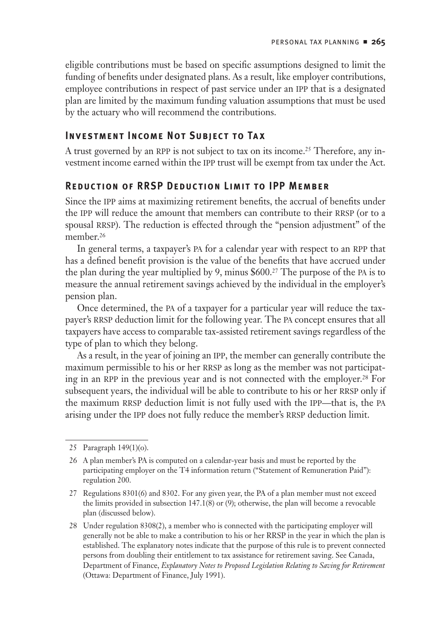<span id="page-8-0"></span>eligible contributions must be based on specific assumptions designed to limit the funding of benefits under designated plans. As a result, like employer contributions, employee contributions in respect of past service under an IPP that is a designated plan are limited by the maximum funding valuation assumptions that must be used by the actuary who will recommend the contributions.

# **INVESTMENT INCOME NOT SUBJECT TO TAX**

A trust governed by an RPP is not subject to tax on its income.25 Therefore, any investment income earned within the IPP trust will be exempt from tax under the Act.

### **Reduction of RRSP Deduction Limit to IPP Member**

Since the IPP aims at maximizing retirement benefits, the accrual of benefits under the IPP will reduce the amount that members can contribute to their RRSP (or to a spousal RRSP). The reduction is effected through the "pension adjustment" of the member.26

In general terms, a taxpayer's PA for a calendar year with respect to an RPP that has a defined benefit provision is the value of the benefits that have accrued under the plan during the year multiplied by 9, minus \$600.27 The purpose of the PA is to measure the annual retirement savings achieved by the individual in the employer's pension plan.

Once determined, the PA of a taxpayer for a particular year will reduce the taxpayer's RRSP deduction limit for the following year. The PA concept ensures that all taxpayers have access to comparable tax-assisted retirement savings regardless of the type of plan to which they belong.

As a result, in the year of joining an IPP, the member can generally contribute the maximum permissible to his or her RRSP as long as the member was not participating in an RPP in the previous year and is not connected with the employer.28 For subsequent years, the individual will be able to contribute to his or her RRSP only if the maximum RRSP deduction limit is not fully used with the IPP—that is, the PA arising under the IPP does not fully reduce the member's RRSP deduction limit.

<sup>25</sup> Paragraph 149(1)(o).

<sup>26</sup> A plan member's PA is computed on a calendar-year basis and must be reported by the participating employer on the T4 information return ("Statement of Remuneration Paid"): regulation 200.

<sup>27</sup> Regulations 8301(6) and 8302. For any given year, the PA of a plan member must not exceed the limits provided in subsection 147.1(8) or (9); otherwise, the plan will become a revocable plan (discussed below).

<sup>28</sup> Under regulation 8308(2), a member who is connected with the participating employer will generally not be able to make a contribution to his or her RRSP in the year in which the plan is established. The explanatory notes indicate that the purpose of this rule is to prevent connected persons from doubling their entitlement to tax assistance for retirement saving. See Canada, Department of Finance, *Explanatory Notes to Proposed Legislation Relating to Saving for Retirement* (Ottawa: Department of Finance, July 1991).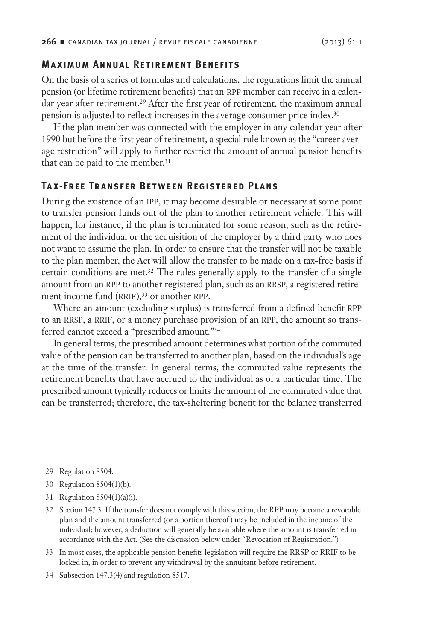#### <span id="page-9-0"></span>**Ma ximum Annual Retirement Benefits**

On the basis of a series of formulas and calculations, the regulations limit the annual pension (or lifetime retirement benefits) that an RPP member can receive in a calendar year after retirement.<sup>29</sup> After the first year of retirement, the maximum annual pension is adjusted to reflect increases in the average consumer price index.30

If the plan member was connected with the employer in any calendar year after 1990 but before the first year of retirement, a special rule known as the "career average restriction" will apply to further restrict the amount of annual pension benefits that can be paid to the member.<sup>31</sup>

### **Ta x-Free Tr ansfer Bet ween Registered Pl ans**

During the existence of an IPP, it may become desirable or necessary at some point to transfer pension funds out of the plan to another retirement vehicle. This will happen, for instance, if the plan is terminated for some reason, such as the retirement of the individual or the acquisition of the employer by a third party who does not want to assume the plan. In order to ensure that the transfer will not be taxable to the plan member, the Act will allow the transfer to be made on a tax-free basis if certain conditions are met.32 The rules generally apply to the transfer of a single amount from an RPP to another registered plan, such as an RRSP, a registered retirement income fund (RRIF),<sup>33</sup> or another RPP.

Where an amount (excluding surplus) is transferred from a defined benefit RPP to an RRSP, a RRIF, or a money purchase provision of an RPP, the amount so transferred cannot exceed a "prescribed amount."34

In general terms, the prescribed amount determines what portion of the commuted value of the pension can be transferred to another plan, based on the individual's age at the time of the transfer. In general terms, the commuted value represents the retirement benefits that have accrued to the individual as of a particular time. The prescribed amount typically reduces or limits the amount of the commuted value that can be transferred; therefore, the tax-sheltering benefit for the balance transferred

31 Regulation 8504(1)(a)(i).

- 33 In most cases, the applicable pension benefits legislation will require the RRSP or RRIF to be locked in, in order to prevent any withdrawal by the annuitant before retirement.
- 34 Subsection 147.3(4) and regulation 8517.

<sup>29</sup> Regulation 8504.

<sup>30</sup> Regulation 8504(1)(b).

<sup>32</sup> Section 147.3. If the transfer does not comply with this section, the RPP may become a revocable plan and the amount transferred (or a portion thereof ) may be included in the income of the individual; however, a deduction will generally be available where the amount is transferred in accordance with the Act. (See the discussion below under "Revocation of Registration.")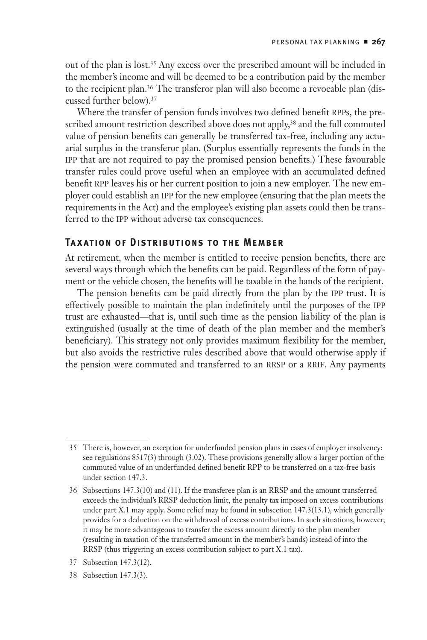<span id="page-10-0"></span>out of the plan is lost.35 Any excess over the prescribed amount will be included in the member's income and will be deemed to be a contribution paid by the member to the recipient plan.<sup>36</sup> The transferor plan will also become a revocable plan (discussed further below).37

Where the transfer of pension funds involves two defined benefit RPPs, the prescribed amount restriction described above does not apply,<sup>38</sup> and the full commuted value of pension benefits can generally be transferred tax-free, including any actuarial surplus in the transferor plan. (Surplus essentially represents the funds in the IPP that are not required to pay the promised pension benefits.) These favourable transfer rules could prove useful when an employee with an accumulated defined benefit RPP leaves his or her current position to join a new employer. The new employer could establish an IPP for the new employee (ensuring that the plan meets the requirements in the Act) and the employee's existing plan assets could then be transferred to the IPP without adverse tax consequences.

### **Ta x ation of Distributions to the Member**

At retirement, when the member is entitled to receive pension benefits, there are several ways through which the benefits can be paid. Regardless of the form of payment or the vehicle chosen, the benefits will be taxable in the hands of the recipient.

The pension benefits can be paid directly from the plan by the IPP trust. It is effectively possible to maintain the plan indefinitely until the purposes of the IPP trust are exhausted—that is, until such time as the pension liability of the plan is extinguished (usually at the time of death of the plan member and the member's beneficiary). This strategy not only provides maximum flexibility for the member, but also avoids the restrictive rules described above that would otherwise apply if the pension were commuted and transferred to an RRSP or a RRIF. Any payments

<sup>35</sup> There is, however, an exception for underfunded pension plans in cases of employer insolvency: see regulations 8517(3) through (3.02). These provisions generally allow a larger portion of the commuted value of an underfunded defined benefit RPP to be transferred on a tax-free basis under section 147.3.

<sup>36</sup> Subsections 147.3(10) and (11). If the transferee plan is an RRSP and the amount transferred exceeds the individual's RRSP deduction limit, the penalty tax imposed on excess contributions under part X.1 may apply. Some relief may be found in subsection 147.3(13.1), which generally provides for a deduction on the withdrawal of excess contributions. In such situations, however, it may be more advantageous to transfer the excess amount directly to the plan member (resulting in taxation of the transferred amount in the member's hands) instead of into the RRSP (thus triggering an excess contribution subject to part X.1 tax).

<sup>37</sup> Subsection 147.3(12).

<sup>38</sup> Subsection 147.3(3).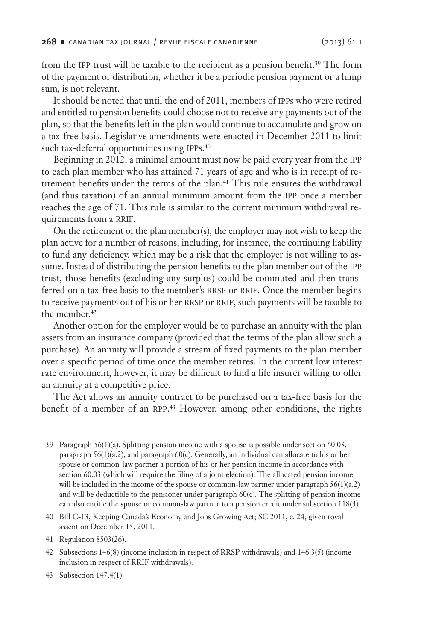from the IPP trust will be taxable to the recipient as a pension benefit.<sup>39</sup> The form of the payment or distribution, whether it be a periodic pension payment or a lump sum, is not relevant.

It should be noted that until the end of 2011, members of IPPs who were retired and entitled to pension benefits could choose not to receive any payments out of the plan, so that the benefits left in the plan would continue to accumulate and grow on a tax-free basis. Legislative amendments were enacted in December 2011 to limit such tax-deferral opportunities using IPPs.<sup>40</sup>

Beginning in 2012, a minimal amount must now be paid every year from the IPP to each plan member who has attained 71 years of age and who is in receipt of retirement benefits under the terms of the plan.41 This rule ensures the withdrawal (and thus taxation) of an annual minimum amount from the IPP once a member reaches the age of 71. This rule is similar to the current minimum withdrawal requirements from a RRIF.

On the retirement of the plan member(s), the employer may not wish to keep the plan active for a number of reasons, including, for instance, the continuing liability to fund any deficiency, which may be a risk that the employer is not willing to assume. Instead of distributing the pension benefits to the plan member out of the IPP trust, those benefits (excluding any surplus) could be commuted and then transferred on a tax-free basis to the member's RRSP or RRIF. Once the member begins to receive payments out of his or her RRSP or RRIF, such payments will be taxable to the member.<sup>42</sup>

Another option for the employer would be to purchase an annuity with the plan assets from an insurance company (provided that the terms of the plan allow such a purchase). An annuity will provide a stream of fixed payments to the plan member over a specific period of time once the member retires. In the current low interest rate environment, however, it may be difficult to find a life insurer willing to offer an annuity at a competitive price.

The Act allows an annuity contract to be purchased on a tax-free basis for the benefit of a member of an RPP. 43 However, among other conditions, the rights

43 Subsection 147.4(1).

<sup>39</sup> Paragraph 56(1)(a). Splitting pension income with a spouse is possible under section 60.03, paragraph 56(1)(a.2), and paragraph 60(c). Generally, an individual can allocate to his or her spouse or common-law partner a portion of his or her pension income in accordance with section 60.03 (which will require the filing of a joint election). The allocated pension income will be included in the income of the spouse or common-law partner under paragraph  $56(1)(a.2)$ and will be deductible to the pensioner under paragraph 60(c). The splitting of pension income can also entitle the spouse or common-law partner to a pension credit under subsection 118(3).

<sup>40</sup> Bill C-13, Keeping Canada's Economy and Jobs Growing Act; SC 2011, c. 24, given royal assent on December 15, 2011.

<sup>41</sup> Regulation 8503(26).

<sup>42</sup> Subsections 146(8) (income inclusion in respect of RRSP withdrawals) and 146.3(5) (income inclusion in respect of RRIF withdrawals).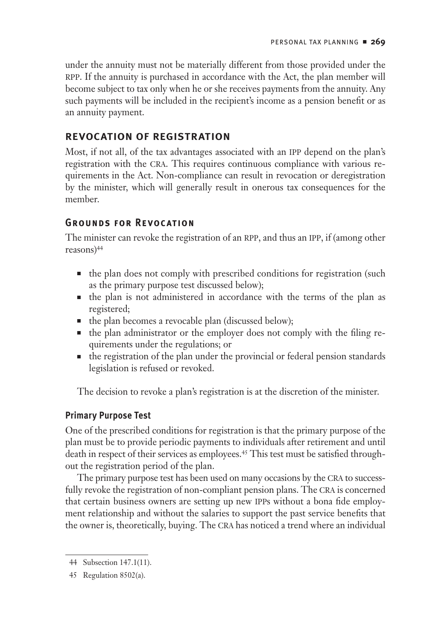<span id="page-12-0"></span>under the annuity must not be materially different from those provided under the RPP. If the annuity is purchased in accordance with the Act, the plan member will become subject to tax only when he or she receives payments from the annuity. Any such payments will be included in the recipient's income as a pension benefit or as an annuity payment.

# **REVOCATION OF REGISTRATION**

Most, if not all, of the tax advantages associated with an IPP depend on the plan's registration with the CRA. This requires continuous compliance with various requirements in the Act. Non-compliance can result in revocation or deregistration by the minister, which will generally result in onerous tax consequences for the member.

# **Grounds for Revoc ation**

The minister can revoke the registration of an RPP, and thus an IPP, if (among other reasons)<sup>44</sup>

- n the plan does not comply with prescribed conditions for registration (such as the primary purpose test discussed below);
- <sup>n</sup> the plan is not administered in accordance with the terms of the plan as registered;
- n the plan becomes a revocable plan (discussed below);
- <sup>n</sup> the plan administrator or the employer does not comply with the filing requirements under the regulations; or
- <sup>n</sup> the registration of the plan under the provincial or federal pension standards legislation is refused or revoked.

The decision to revoke a plan's registration is at the discretion of the minister.

# **Primary Purpose Test**

One of the prescribed conditions for registration is that the primary purpose of the plan must be to provide periodic payments to individuals after retirement and until death in respect of their services as employees.45 This test must be satisfied throughout the registration period of the plan.

The primary purpose test has been used on many occasions by the CRA to successfully revoke the registration of non-compliant pension plans. The CRA is concerned that certain business owners are setting up new IPPs without a bona fide employment relationship and without the salaries to support the past service benefits that the owner is, theoretically, buying. The CRA has noticed a trend where an individual

<sup>44</sup> Subsection 147.1(11).

<sup>45</sup> Regulation 8502(a).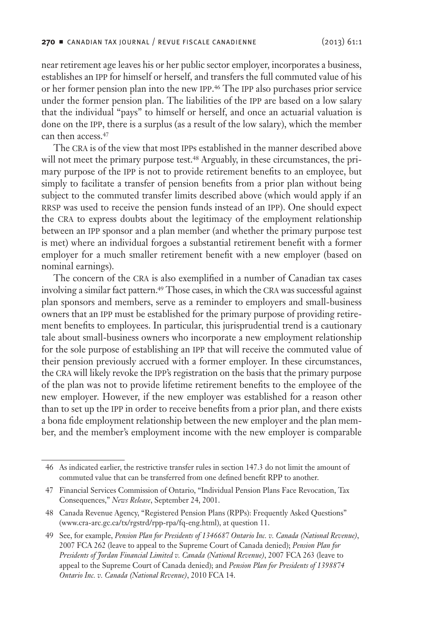near retirement age leaves his or her public sector employer, incorporates a business, establishes an IPP for himself or herself, and transfers the full commuted value of his or her former pension plan into the new IPP. 46 The IPP also purchases prior service under the former pension plan. The liabilities of the IPP are based on a low salary that the individual "pays" to himself or herself, and once an actuarial valuation is done on the IPP, there is a surplus (as a result of the low salary), which the member can then access.47

The CRA is of the view that most IPPs established in the manner described above will not meet the primary purpose test.<sup>48</sup> Arguably, in these circumstances, the primary purpose of the IPP is not to provide retirement benefits to an employee, but simply to facilitate a transfer of pension benefits from a prior plan without being subject to the commuted transfer limits described above (which would apply if an RRSP was used to receive the pension funds instead of an IPP). One should expect the CRA to express doubts about the legitimacy of the employment relationship between an IPP sponsor and a plan member (and whether the primary purpose test is met) where an individual forgoes a substantial retirement benefit with a former employer for a much smaller retirement benefit with a new employer (based on nominal earnings).

The concern of the CRA is also exemplified in a number of Canadian tax cases involving a similar fact pattern.<sup>49</sup> Those cases, in which the CRA was successful against plan sponsors and members, serve as a reminder to employers and small-business owners that an IPP must be established for the primary purpose of providing retirement benefits to employees. In particular, this jurisprudential trend is a cautionary tale about small-business owners who incorporate a new employment relationship for the sole purpose of establishing an IPP that will receive the commuted value of their pension previously accrued with a former employer. In these circumstances, the CRA will likely revoke the IPP's registration on the basis that the primary purpose of the plan was not to provide lifetime retirement benefits to the employee of the new employer. However, if the new employer was established for a reason other than to set up the IPP in order to receive benefits from a prior plan, and there exists a bona fide employment relationship between the new employer and the plan member, and the member's employment income with the new employer is comparable

<sup>46</sup> As indicated earlier, the restrictive transfer rules in section 147.3 do not limit the amount of commuted value that can be transferred from one defined benefit RPP to another.

<sup>47</sup> Financial Services Commission of Ontario, "Individual Pension Plans Face Revocation, Tax Consequences," *News Release*, September 24, 2001.

<sup>48</sup> Canada Revenue Agency, "Registered Pension Plans (RPPs): Frequently Asked Questions" (www.cra-arc.gc.ca/tx/rgstrd/rpp-rpa/fq-eng.html), at question 11.

<sup>49</sup> See, for example, *Pension Plan for Presidents of 1346687 Ontario Inc. v. Canada (National Revenue)*, 2007 FCA 262 (leave to appeal to the Supreme Court of Canada denied); *Pension Plan for Presidents of Jordan Financial Limited v. Canada (National Revenue)*, 2007 FCA 263 (leave to appeal to the Supreme Court of Canada denied); and *Pension Plan for Presidents of 1398874 Ontario Inc. v. Canada (National Revenue)*, 2010 FCA 14.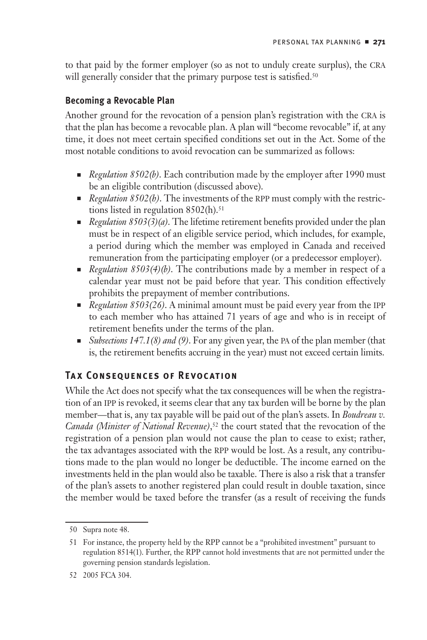<span id="page-14-0"></span>to that paid by the former employer (so as not to unduly create surplus), the CRA will generally consider that the primary purpose test is satisfied.<sup>50</sup>

### **Becoming a Revocable Plan**

Another ground for the revocation of a pension plan's registration with the CRA is that the plan has become a revocable plan. A plan will "become revocable" if, at any time, it does not meet certain specified conditions set out in the Act. Some of the most notable conditions to avoid revocation can be summarized as follows:

- *Regulation 8502(b)*. Each contribution made by the employer after 1990 must be an eligible contribution (discussed above).
- <sup>n</sup> *Regulation 8502(h)*. The investments of the RPP must comply with the restrictions listed in regulation  $8502(h).$ <sup>51</sup>
- *Regulation 8503(3)(a)*. The lifetime retirement benefits provided under the plan must be in respect of an eligible service period, which includes, for example, a period during which the member was employed in Canada and received remuneration from the participating employer (or a predecessor employer).
- *Regulation 8503(4)(b)*. The contributions made by a member in respect of a calendar year must not be paid before that year. This condition effectively prohibits the prepayment of member contributions.
- *Regulation 8503(26)*. A minimal amount must be paid every year from the IPP to each member who has attained 71 years of age and who is in receipt of retirement benefits under the terms of the plan.
- *Subsections 147.1(8) and (9)*. For any given year, the PA of the plan member (that is, the retirement benefits accruing in the year) must not exceed certain limits.

# **Ta x Consequences of Revoc ation**

While the Act does not specify what the tax consequences will be when the registration of an IPP is revoked, it seems clear that any tax burden will be borne by the plan member—that is, any tax payable will be paid out of the plan's assets. In *Boudreau v. Canada (Minister of National Revenue)*, 52 the court stated that the revocation of the registration of a pension plan would not cause the plan to cease to exist; rather, the tax advantages associated with the RPP would be lost. As a result, any contributions made to the plan would no longer be deductible. The income earned on the investments held in the plan would also be taxable. There is also a risk that a transfer of the plan's assets to another registered plan could result in double taxation, since the member would be taxed before the transfer (as a result of receiving the funds

<sup>50</sup> Supra note 48.

<sup>51</sup> For instance, the property held by the RPP cannot be a "prohibited investment" pursuant to regulation 8514(1). Further, the RPP cannot hold investments that are not permitted under the governing pension standards legislation.

<sup>52</sup> 2005 FCA 304.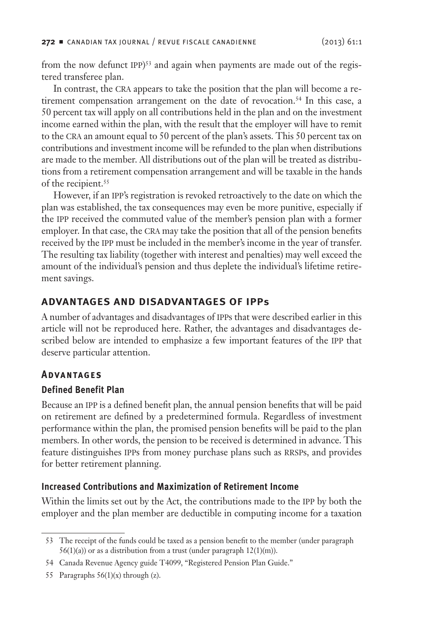<span id="page-15-0"></span>from the now defunct IPP)<sup>53</sup> and again when payments are made out of the registered transferee plan.

In contrast, the CRA appears to take the position that the plan will become a retirement compensation arrangement on the date of revocation.<sup>54</sup> In this case, a 50 percent tax will apply on all contributions held in the plan and on the investment income earned within the plan, with the result that the employer will have to remit to the CRA an amount equal to 50 percent of the plan's assets. This 50 percent tax on contributions and investment income will be refunded to the plan when distributions are made to the member. All distributions out of the plan will be treated as distributions from a retirement compensation arrangement and will be taxable in the hands of the recipient.<sup>55</sup>

However, if an IPP's registration is revoked retroactively to the date on which the plan was established, the tax consequences may even be more punitive, especially if the IPP received the commuted value of the member's pension plan with a former employer. In that case, the CRA may take the position that all of the pension benefits received by the IPP must be included in the member's income in the year of transfer. The resulting tax liability (together with interest and penalties) may well exceed the amount of the individual's pension and thus deplete the individual's lifetime retirement savings.

# **ADVANTAGES AND DISADVANTAGES OF IPPs**

A number of advantages and disadvantages of IPPs that were described earlier in this article will not be reproduced here. Rather, the advantages and disadvantages described below are intended to emphasize a few important features of the IPP that deserve particular attention.

### **Advantages**

### **Defined Benefit Plan**

Because an IPP is a defined benefit plan, the annual pension benefits that will be paid on retirement are defined by a predetermined formula. Regardless of investment performance within the plan, the promised pension benefits will be paid to the plan members. In other words, the pension to be received is determined in advance. This feature distinguishes IPPs from money purchase plans such as RRSPs, and provides for better retirement planning.

# **Increased Contributions and Maximization of Retirement Income**

Within the limits set out by the Act, the contributions made to the IPP by both the employer and the plan member are deductible in computing income for a taxation

<sup>53</sup> The receipt of the funds could be taxed as a pension benefit to the member (under paragraph 56(1)(a)) or as a distribution from a trust (under paragraph 12(1)(m)).

<sup>54</sup> Canada Revenue Agency guide T4099, "Registered Pension Plan Guide."

<sup>55</sup> Paragraphs  $56(1)(x)$  through (z).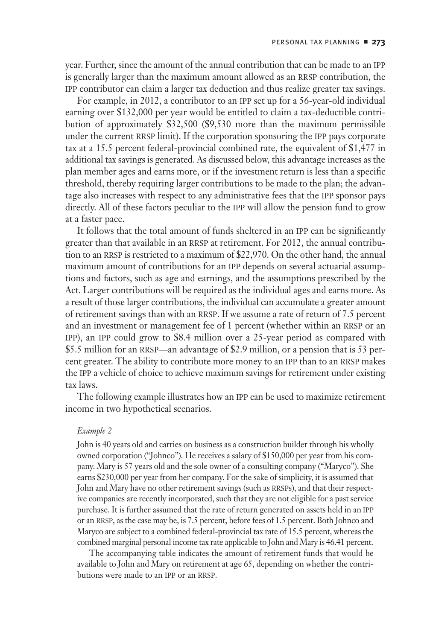year. Further, since the amount of the annual contribution that can be made to an IPP is generally larger than the maximum amount allowed as an RRSP contribution, the IPP contributor can claim a larger tax deduction and thus realize greater tax savings.

For example, in 2012, a contributor to an IPP set up for a 56-year-old individual earning over \$132,000 per year would be entitled to claim a tax-deductible contribution of approximately \$32,500 (\$9,530 more than the maximum permissible under the current RRSP limit). If the corporation sponsoring the IPP pays corporate tax at a 15.5 percent federal-provincial combined rate, the equivalent of \$1,477 in additional tax savings is generated. As discussed below, this advantage increases as the plan member ages and earns more, or if the investment return is less than a specific threshold, thereby requiring larger contributions to be made to the plan; the advantage also increases with respect to any administrative fees that the IPP sponsor pays directly. All of these factors peculiar to the IPP will allow the pension fund to grow at a faster pace.

It follows that the total amount of funds sheltered in an IPP can be significantly greater than that available in an RRSP at retirement. For 2012, the annual contribution to an RRSP is restricted to a maximum of \$22,970. On the other hand, the annual maximum amount of contributions for an IPP depends on several actuarial assumptions and factors, such as age and earnings, and the assumptions prescribed by the Act. Larger contributions will be required as the individual ages and earns more. As a result of those larger contributions, the individual can accumulate a greater amount of retirement savings than with an RRSP. If we assume a rate of return of 7.5 percent and an investment or management fee of 1 percent (whether within an RRSP or an IPP), an IPP could grow to \$8.4 million over a 25-year period as compared with \$5.5 million for an RRSP—an advantage of \$2.9 million, or a pension that is 53 percent greater. The ability to contribute more money to an IPP than to an RRSP makes the IPP a vehicle of choice to achieve maximum savings for retirement under existing tax laws.

The following example illustrates how an IPP can be used to maximize retirement income in two hypothetical scenarios.

#### *Example 2*

John is 40 years old and carries on business as a construction builder through his wholly owned corporation ("Johnco"). He receives a salary of \$150,000 per year from his company. Mary is 57 years old and the sole owner of a consulting company ("Maryco"). She earns \$230,000 per year from her company. For the sake of simplicity, it is assumed that John and Mary have no other retirement savings (such as RRSPs), and that their respective companies are recently incorporated, such that they are not eligible for a past service purchase. It is further assumed that the rate of return generated on assets held in an IPP or an RRSP, as the case may be, is 7.5 percent, before fees of 1.5 percent. Both Johnco and Maryco are subject to a combined federal-provincial tax rate of 15.5 percent, whereas the combined marginal personal income tax rate applicable to John and Mary is 46.41 percent.

The accompanying table indicates the amount of retirement funds that would be available to John and Mary on retirement at age 65, depending on whether the contributions were made to an IPP or an RRSP.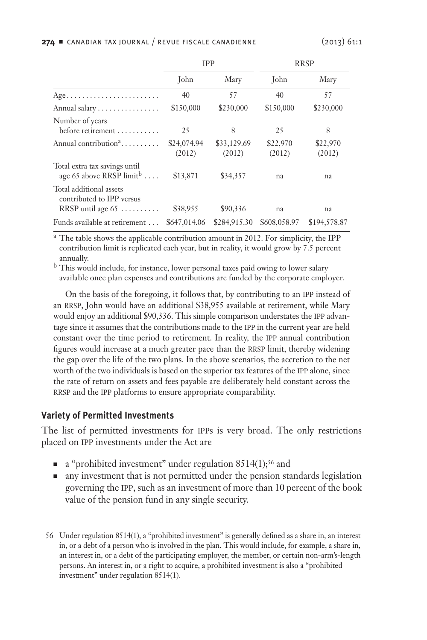<span id="page-17-0"></span>

|                                                                             | <b>TPP</b>            |                       | <b>RRSP</b>        |                    |
|-----------------------------------------------------------------------------|-----------------------|-----------------------|--------------------|--------------------|
|                                                                             | John                  | Mary                  | John               | Mary               |
| Age                                                                         | 40                    | 57                    | 40                 | 57                 |
| Annual salary                                                               | \$150,000             | \$230,000             | \$150,000          | \$230,000          |
| Number of years<br>before retirement                                        | 25                    | 8                     | 25                 | 8                  |
| Annual contribution <sup>a</sup>                                            | \$24,074.94<br>(2012) | \$33,129.69<br>(2012) | \$22,970<br>(2012) | \$22,970<br>(2012) |
| Total extra tax savings until<br>age 65 above RRSP $\lim_{b \to \infty}$    | \$13,871              | \$34,357              | na                 | na                 |
| Total additional assets<br>contributed to IPP versus<br>RRSP until age $65$ | \$38,955              | \$90,336              | na                 | na                 |
| Funds available at retirement                                               | \$647,014.06          | \$284,915.30          | \$608,058.97       | \$194,578.87       |

<sup>a</sup> The table shows the applicable contribution amount in 2012. For simplicity, the IPP contribution limit is replicated each year, but in reality, it would grow by 7.5 percent annually.

<sup>b</sup> This would include, for instance, lower personal taxes paid owing to lower salary available once plan expenses and contributions are funded by the corporate employer.

On the basis of the foregoing, it follows that, by contributing to an IPP instead of an RRSP, John would have an additional \$38,955 available at retirement, while Mary would enjoy an additional \$90,336. This simple comparison understates the IPP advantage since it assumes that the contributions made to the IPP in the current year are held constant over the time period to retirement. In reality, the IPP annual contribution figures would increase at a much greater pace than the RRSP limit, thereby widening the gap over the life of the two plans. In the above scenarios, the accretion to the net worth of the two individuals is based on the superior tax features of the IPP alone, since the rate of return on assets and fees payable are deliberately held constant across the RRSP and the IPP platforms to ensure appropriate comparability.

#### **Variety of Permitted Investments**

The list of permitted investments for IPPs is very broad. The only restrictions placed on IPP investments under the Act are

- <sup>n</sup> a "prohibited investment" under regulation 8514(1);56 and
- n any investment that is not permitted under the pension standards legislation governing the IPP, such as an investment of more than 10 percent of the book value of the pension fund in any single security.

<sup>56</sup> Under regulation 8514(1), a "prohibited investment" is generally defined as a share in, an interest in, or a debt of a person who is involved in the plan. This would include, for example, a share in, an interest in, or a debt of the participating employer, the member, or certain non-arm's-length persons. An interest in, or a right to acquire, a prohibited investment is also a "prohibited investment" under regulation 8514(1).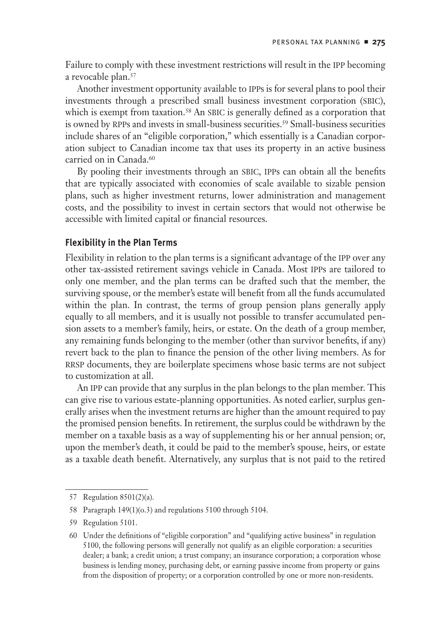<span id="page-18-0"></span>Failure to comply with these investment restrictions will result in the IPP becoming a revocable plan.<sup>57</sup>

Another investment opportunity available to IPPs is for several plans to pool their investments through a prescribed small business investment corporation (SBIC), which is exempt from taxation.<sup>58</sup> An SBIC is generally defined as a corporation that is owned by RPPs and invests in small-business securities.<sup>59</sup> Small-business securities include shares of an "eligible corporation," which essentially is a Canadian corporation subject to Canadian income tax that uses its property in an active business carried on in Canada.<sup>60</sup>

By pooling their investments through an SBIC, IPPs can obtain all the benefits that are typically associated with economies of scale available to sizable pension plans, such as higher investment returns, lower administration and management costs, and the possibility to invest in certain sectors that would not otherwise be accessible with limited capital or financial resources.

#### **Flexibility in the Plan Terms**

Flexibility in relation to the plan terms is a significant advantage of the IPP over any other tax-assisted retirement savings vehicle in Canada. Most IPPs are tailored to only one member, and the plan terms can be drafted such that the member, the surviving spouse, or the member's estate will benefit from all the funds accumulated within the plan. In contrast, the terms of group pension plans generally apply equally to all members, and it is usually not possible to transfer accumulated pension assets to a member's family, heirs, or estate. On the death of a group member, any remaining funds belonging to the member (other than survivor benefits, if any) revert back to the plan to finance the pension of the other living members. As for RRSP documents, they are boilerplate specimens whose basic terms are not subject to customization at all.

An IPP can provide that any surplus in the plan belongs to the plan member. This can give rise to various estate-planning opportunities. As noted earlier, surplus generally arises when the investment returns are higher than the amount required to pay the promised pension benefits. In retirement, the surplus could be withdrawn by the member on a taxable basis as a way of supplementing his or her annual pension; or, upon the member's death, it could be paid to the member's spouse, heirs, or estate as a taxable death benefit. Alternatively, any surplus that is not paid to the retired

<sup>57</sup> Regulation 8501(2)(a).

<sup>58</sup> Paragraph 149(1)(o.3) and regulations 5100 through 5104.

<sup>59</sup> Regulation 5101.

<sup>60</sup> Under the definitions of "eligible corporation" and "qualifying active business" in regulation 5100, the following persons will generally not qualify as an eligible corporation: a securities dealer; a bank; a credit union; a trust company; an insurance corporation; a corporation whose business is lending money, purchasing debt, or earning passive income from property or gains from the disposition of property; or a corporation controlled by one or more non-residents.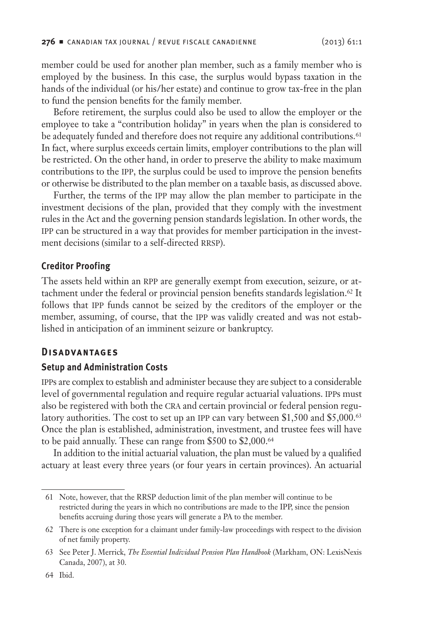<span id="page-19-0"></span>member could be used for another plan member, such as a family member who is employed by the business. In this case, the surplus would bypass taxation in the hands of the individual (or his/her estate) and continue to grow tax-free in the plan to fund the pension benefits for the family member.

Before retirement, the surplus could also be used to allow the employer or the employee to take a "contribution holiday" in years when the plan is considered to be adequately funded and therefore does not require any additional contributions.<sup>61</sup> In fact, where surplus exceeds certain limits, employer contributions to the plan will be restricted. On the other hand, in order to preserve the ability to make maximum contributions to the IPP, the surplus could be used to improve the pension benefits or otherwise be distributed to the plan member on a taxable basis, as discussed above.

Further, the terms of the IPP may allow the plan member to participate in the investment decisions of the plan, provided that they comply with the investment rules in the Act and the governing pension standards legislation. In other words, the IPP can be structured in a way that provides for member participation in the investment decisions (similar to a self-directed RRSP).

### **Creditor Proofing**

The assets held within an RPP are generally exempt from execution, seizure, or attachment under the federal or provincial pension benefits standards legislation.<sup>62</sup> It follows that IPP funds cannot be seized by the creditors of the employer or the member, assuming, of course, that the IPP was validly created and was not established in anticipation of an imminent seizure or bankruptcy.

### **Disadvantages**

### **Setup and Administration Costs**

IPPs are complex to establish and administer because they are subject to a considerable level of governmental regulation and require regular actuarial valuations. IPPs must also be registered with both the CRA and certain provincial or federal pension regulatory authorities. The cost to set up an IPP can vary between \$1,500 and \$5,000.63 Once the plan is established, administration, investment, and trustee fees will have to be paid annually. These can range from \$500 to \$2,000.64

In addition to the initial actuarial valuation, the plan must be valued by a qualified actuary at least every three years (or four years in certain provinces). An actuarial

<sup>61</sup> Note, however, that the RRSP deduction limit of the plan member will continue to be restricted during the years in which no contributions are made to the IPP, since the pension benefits accruing during those years will generate a PA to the member.

<sup>62</sup> There is one exception for a claimant under family-law proceedings with respect to the division of net family property.

<sup>63</sup> See Peter J. Merrick, *The Essential Individual Pension Plan Handbook* (Markham, ON: LexisNexis Canada, 2007), at 30.

<sup>64</sup> Ibid.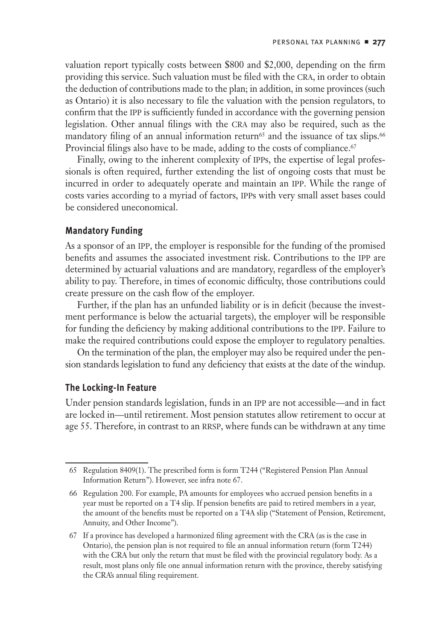<span id="page-20-0"></span>valuation report typically costs between \$800 and \$2,000, depending on the firm providing this service. Such valuation must be filed with the CRA, in order to obtain the deduction of contributions made to the plan; in addition, in some provinces (such as Ontario) it is also necessary to file the valuation with the pension regulators, to confirm that the IPP is sufficiently funded in accordance with the governing pension legislation. Other annual filings with the CRA may also be required, such as the mandatory filing of an annual information return<sup>65</sup> and the issuance of tax slips.<sup>66</sup> Provincial filings also have to be made, adding to the costs of compliance.<sup>67</sup>

Finally, owing to the inherent complexity of IPPs, the expertise of legal professionals is often required, further extending the list of ongoing costs that must be incurred in order to adequately operate and maintain an IPP. While the range of costs varies according to a myriad of factors, IPPs with very small asset bases could be considered uneconomical.

#### **Mandatory Funding**

As a sponsor of an IPP, the employer is responsible for the funding of the promised benefits and assumes the associated investment risk. Contributions to the IPP are determined by actuarial valuations and are mandatory, regardless of the employer's ability to pay. Therefore, in times of economic difficulty, those contributions could create pressure on the cash flow of the employer.

Further, if the plan has an unfunded liability or is in deficit (because the investment performance is below the actuarial targets), the employer will be responsible for funding the deficiency by making additional contributions to the IPP. Failure to make the required contributions could expose the employer to regulatory penalties.

On the termination of the plan, the employer may also be required under the pension standards legislation to fund any deficiency that exists at the date of the windup.

#### **The Locking-In Feature**

Under pension standards legislation, funds in an IPP are not accessible—and in fact are locked in—until retirement. Most pension statutes allow retirement to occur at age 55. Therefore, in contrast to an RRSP, where funds can be withdrawn at any time

<sup>65</sup> Regulation 8409(1). The prescribed form is form T244 ("Registered Pension Plan Annual Information Return"). However, see infra note 67.

<sup>66</sup> Regulation 200. For example, PA amounts for employees who accrued pension benefits in a year must be reported on a T4 slip. If pension benefits are paid to retired members in a year, the amount of the benefits must be reported on a T4A slip ("Statement of Pension, Retirement, Annuity, and Other Income").

<sup>67</sup> If a province has developed a harmonized filing agreement with the CRA (as is the case in Ontario), the pension plan is not required to file an annual information return (form T244) with the CRA but only the return that must be filed with the provincial regulatory body. As a result, most plans only file one annual information return with the province, thereby satisfying the CRA's annual filing requirement.